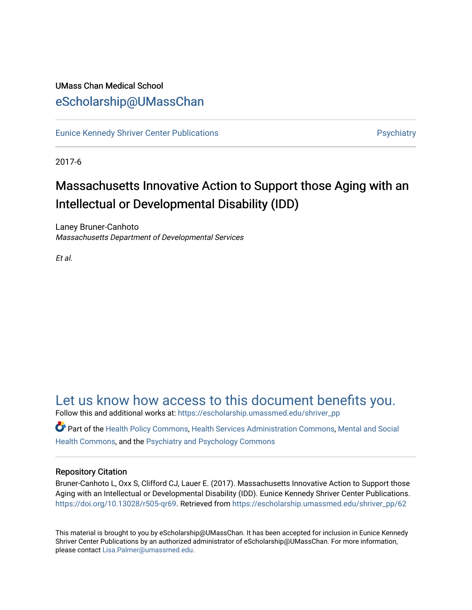### UMass Chan Medical School [eScholarship@UMassChan](https://escholarship.umassmed.edu/)

[Eunice Kennedy Shriver Center Publications](https://escholarship.umassmed.edu/shriver_pp) **Provides and Contact Automobile Providence** Psychiatry

2017-6

### Massachusetts Innovative Action to Support those Aging with an Intellectual or Developmental Disability (IDD)

Laney Bruner-Canhoto Massachusetts Department of Developmental Services

Et al.

### [Let us know how access to this document benefits you.](https://arcsapps.umassmed.edu/redcap/surveys/?s=XWRHNF9EJE)

Follow this and additional works at: [https://escholarship.umassmed.edu/shriver\\_pp](https://escholarship.umassmed.edu/shriver_pp?utm_source=escholarship.umassmed.edu%2Fshriver_pp%2F62&utm_medium=PDF&utm_campaign=PDFCoverPages)

Part of the [Health Policy Commons](http://network.bepress.com/hgg/discipline/395?utm_source=escholarship.umassmed.edu%2Fshriver_pp%2F62&utm_medium=PDF&utm_campaign=PDFCoverPages), [Health Services Administration Commons](http://network.bepress.com/hgg/discipline/747?utm_source=escholarship.umassmed.edu%2Fshriver_pp%2F62&utm_medium=PDF&utm_campaign=PDFCoverPages), [Mental and Social](http://network.bepress.com/hgg/discipline/709?utm_source=escholarship.umassmed.edu%2Fshriver_pp%2F62&utm_medium=PDF&utm_campaign=PDFCoverPages)  [Health Commons,](http://network.bepress.com/hgg/discipline/709?utm_source=escholarship.umassmed.edu%2Fshriver_pp%2F62&utm_medium=PDF&utm_campaign=PDFCoverPages) and the [Psychiatry and Psychology Commons](http://network.bepress.com/hgg/discipline/908?utm_source=escholarship.umassmed.edu%2Fshriver_pp%2F62&utm_medium=PDF&utm_campaign=PDFCoverPages)

### Repository Citation

Bruner-Canhoto L, Oxx S, Clifford CJ, Lauer E. (2017). Massachusetts Innovative Action to Support those Aging with an Intellectual or Developmental Disability (IDD). Eunice Kennedy Shriver Center Publications. [https://doi.org/10.13028/r505-qr69.](https://doi.org/10.13028/r505-qr69) Retrieved from [https://escholarship.umassmed.edu/shriver\\_pp/62](https://escholarship.umassmed.edu/shriver_pp/62?utm_source=escholarship.umassmed.edu%2Fshriver_pp%2F62&utm_medium=PDF&utm_campaign=PDFCoverPages)

This material is brought to you by eScholarship@UMassChan. It has been accepted for inclusion in Eunice Kennedy Shriver Center Publications by an authorized administrator of eScholarship@UMassChan. For more information, please contact [Lisa.Palmer@umassmed.edu](mailto:Lisa.Palmer@umassmed.edu).